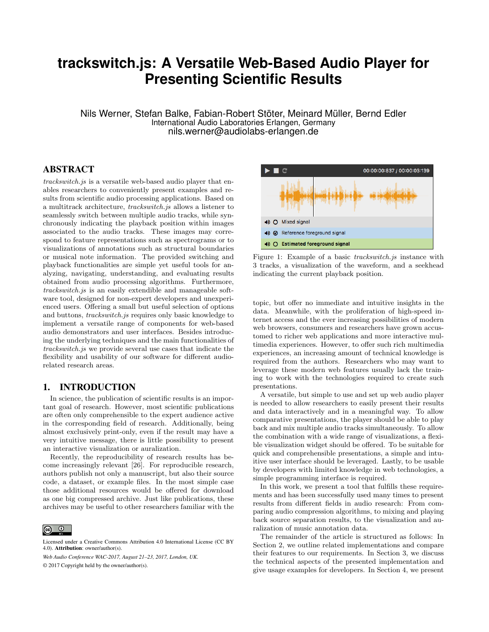# **trackswitch.js: A Versatile Web-Based Audio Player for Presenting Scientific Results**

Nils Werner, Stefan Balke, Fabian-Robert Stöter, Meinard Müller, Bernd Edler International Audio Laboratories Erlangen, Germany nils.werner@audiolabs-erlangen.de

## ABSTRACT

trackswitch.js is a versatile web-based audio player that enables researchers to conveniently present examples and results from scientific audio processing applications. Based on a multitrack architecture, trackswitch.js allows a listener to seamlessly switch between multiple audio tracks, while synchronously indicating the playback position within images associated to the audio tracks. These images may correspond to feature representations such as spectrograms or to visualizations of annotations such as structural boundaries or musical note information. The provided switching and playback functionalities are simple yet useful tools for analyzing, navigating, understanding, and evaluating results obtained from audio processing algorithms. Furthermore, trackswitch.js is an easily extendible and manageable software tool, designed for non-expert developers and unexperienced users. Offering a small but useful selection of options and buttons, trackswitch.js requires only basic knowledge to implement a versatile range of components for web-based audio demonstrators and user interfaces. Besides introducing the underlying techniques and the main functionalities of trackswitch.js we provide several use cases that indicate the flexibility and usability of our software for different audiorelated research areas.

#### 1. INTRODUCTION

In science, the publication of scientific results is an important goal of research. However, most scientific publications are often only comprehensible to the expert audience active in the corresponding field of research. Additionally, being almost exclusively print-only, even if the result may have a very intuitive message, there is little possibility to present an interactive visualization or auralization.

Recently, the reproducibility of research results has become increasingly relevant [26]. For reproducible research, authors publish not only a manuscript, but also their source code, a dataset, or example files. In the most simple case those additional resources would be offered for download as one big compressed archive. Just like publications, these archives may be useful to other researchers familiar with the

*Web Audio Conference WAC-2017, August 21–23, 2017, London, UK.*

© 2017 Copyright held by the owner/author(s).



Figure 1: Example of a basic *trackswitch.js* instance with 3 tracks, a visualization of the waveform, and a seekhead indicating the current playback position.

topic, but offer no immediate and intuitive insights in the data. Meanwhile, with the proliferation of high-speed internet access and the ever increasing possibilities of modern web browsers, consumers and researchers have grown accustomed to richer web applications and more interactive multimedia experiences. However, to offer such rich multimedia experiences, an increasing amount of technical knowledge is required from the authors. Researchers who may want to leverage these modern web features usually lack the training to work with the technologies required to create such presentations.

A versatile, but simple to use and set up web audio player is needed to allow researchers to easily present their results and data interactively and in a meaningful way. To allow comparative presentations, the player should be able to play back and mix multiple audio tracks simultaneously. To allow the combination with a wide range of visualizations, a flexible visualization widget should be offered. To be suitable for quick and comprehensible presentations, a simple and intuitive user interface should be leveraged. Lastly, to be usable by developers with limited knowledge in web technologies, a simple programming interface is required.

In this work, we present a tool that fulfills these requirements and has been successfully used many times to present results from different fields in audio research: From comparing audio compression algorithms, to mixing and playing back source separation results, to the visualization and auralization of music annotation data.

The remainder of the article is structured as follows: In Section 2, we outline related implementations and compare their features to our requirements. In Section 3, we discuss the technical aspects of the presented implementation and give usage examples for developers. In Section 4, we present

 $\odot$  $\left($ 

Licensed under a Creative Commons Attribution 4.0 International License (CC BY 4.0). Attribution: owner/author(s).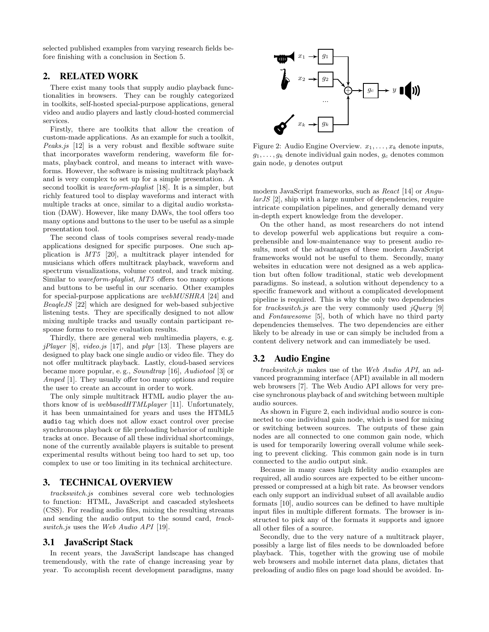selected published examples from varying research fields before finishing with a conclusion in Section 5.

## 2. RELATED WORK

There exist many tools that supply audio playback functionalities in browsers. They can be roughly categorized in toolkits, self-hosted special-purpose applications, general video and audio players and lastly cloud-hosted commercial services.

Firstly, there are toolkits that allow the creation of custom-made applications. As an example for such a toolkit, Peaks.js [12] is a very robust and flexible software suite that incorporates waveform rendering, waveform file formats, playback control, and means to interact with waveforms. However, the software is missing multitrack playback and is very complex to set up for a simple presentation. A second toolkit is *waveform-playlist* [18]. It is a simpler, but richly featured tool to display waveforms and interact with multiple tracks at once, similar to a digital audio workstation (DAW). However, like many DAWs, the tool offers too many options and buttons to the user to be useful as a simple presentation tool.

The second class of tools comprises several ready-made applications designed for specific purposes. One such application is MT5 [20], a multitrack player intended for musicians which offers multitrack playback, waveform and spectrum visualizations, volume control, and track mixing. Similar to waveform-playlist, MT5 offers too many options and buttons to be useful in our scenario. Other examples for special-purpose applications are webMUSHRA [24] and BeaqleJS [22] which are designed for web-based subjective listening tests. They are specifically designed to not allow mixing multiple tracks and usually contain participant response forms to receive evaluation results.

Thirdly, there are general web multimedia players, e. g.  $jPlayer$  [8], video.js [17], and plyr [13]. These players are designed to play back one single audio or video file. They do not offer multitrack playback. Lastly, cloud-based services became more popular, e. g., Soundtrap [16], Audiotool [3] or Amped [1]. They usually offer too many options and require the user to create an account in order to work.

The only simple multitrack HTML audio player the authors know of is *webbasedHTMLplayer* [11]. Unfortunately, it has been unmaintained for years and uses the HTML5 audio tag which does not allow exact control over precise synchronous playback or file preloading behavior of multiple tracks at once. Because of all these individual shortcomings, none of the currently available players is suitable to present experimental results without being too hard to set up, too complex to use or too limiting in its technical architecture.

#### 3. TECHNICAL OVERVIEW

trackswitch.js combines several core web technologies to function: HTML, JavaScript and cascaded stylesheets (CSS). For reading audio files, mixing the resulting streams and sending the audio output to the sound card, trackswitch.js uses the Web Audio API [19].

#### 3.1 JavaScript Stack

In recent years, the JavaScript landscape has changed tremendously, with the rate of change increasing year by year. To accomplish recent development paradigms, many



Figure 2: Audio Engine Overview.  $x_1, \ldots, x_k$  denote inputs,  $g_1, \ldots, g_k$  denote individual gain nodes,  $g_c$  denotes common gain node, y denotes output

modern JavaScript frameworks, such as React [14] or Angu $larJS$  [2], ship with a large number of dependencies, require intricate compilation pipelines, and generally demand very in-depth expert knowledge from the developer.

On the other hand, as most researchers do not intend to develop powerful web applications but require a comprehensible and low-maintenance way to present audio results, most of the advantages of these modern JavaScript frameworks would not be useful to them. Secondly, many websites in education were not designed as a web application but often follow traditional, static web development paradigms. So instead, a solution without dependency to a specific framework and without a complicated development pipeline is required. This is why the only two dependencies for trackswitch.js are the very commonly used jQuery [9] and Fontawesome [5], both of which have no third party dependencies themselves. The two dependencies are either likely to be already in use or can simply be included from a content delivery network and can immediately be used.

#### 3.2 Audio Engine

trackswitch.js makes use of the Web Audio API, an advanced programming interface (API) available in all modern web browsers [7]. The Web Audio API allows for very precise synchronous playback of and switching between multiple audio sources.

As shown in Figure 2, each individual audio source is connected to one individual gain node, which is used for mixing or switching between sources. The outputs of these gain nodes are all connected to one common gain node, which is used for temporarily lowering overall volume while seeking to prevent clicking. This common gain node is in turn connected to the audio output sink.

Because in many cases high fidelity audio examples are required, all audio sources are expected to be either uncompressed or compressed at a high bit rate. As browser vendors each only support an individual subset of all available audio formats [10], audio sources can be defined to have multiple input files in multiple different formats. The browser is instructed to pick any of the formats it supports and ignore all other files of a source.

Secondly, due to the very nature of a multitrack player, possibly a large list of files needs to be downloaded before playback. This, together with the growing use of mobile web browsers and mobile internet data plans, dictates that preloading of audio files on page load should be avoided. In-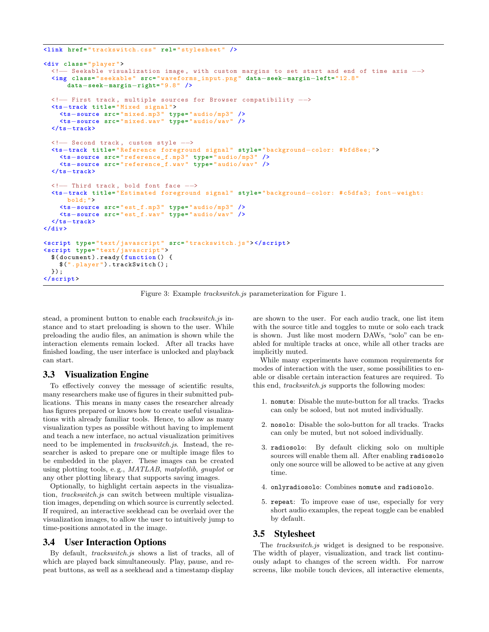```
<link href= " trackswitch.css " rel= " stylesheet " />
<div class= " player ">
 <!−− Seekable visualization image , with custom margins to set start and end of time axis −−>
 <img class= " seekable " src= " waveforms_input.png " data−seek−margin−left=" 12.8 "
      data−seek−margin−right=" 9.8 " />
 <!−− First track , multiple sources for Browser compatibility −−>
  <ts−track title= " Mixed signal ">
    <ts−source src= " mixed.mp3 " type= " audio / mp3 " />
    <ts−source src= " mixed.wav " type= " audio / wav " />
  </ts−track>
 <!-- Second track, custom style -->
  <ts−track title= " Reference foreground signal " style= " background−color: # bfd8ee; ">
    <ts−source src= " reference_f.mp3 " type= " audio / mp3 " />
    <ts−source src= " reference_f.wav " type= " audio / wav " />
  </ts−track>
  <!-- Third track, bold font face -->
  <ts−track title= " Estimated foreground signal " style= " background−color: # c5dfa3; font−weight:
      bold: "><ts−source src= " est_f.mp3 " type= " audio / mp3 " />
    <ts−source src= " est_f.wav " type= " audio / wav " />
  </ts−track>
</div >
<script type= " text / javascript " src= " trackswitch.js "> </script >
<script type= " text / javascript ">
 $( document ). ready ( function () {
    $(". player "). trackSwitch () ;
 }) ;
</script >
```
Figure 3: Example trackswitch.js parameterization for Figure 1.

stead, a prominent button to enable each *trackswitch.js* instance and to start preloading is shown to the user. While preloading the audio files, an animation is shown while the interaction elements remain locked. After all tracks have finished loading, the user interface is unlocked and playback can start.

#### 3.3 Visualization Engine

To effectively convey the message of scientific results, many researchers make use of figures in their submitted publications. This means in many cases the researcher already has figures prepared or knows how to create useful visualizations with already familiar tools. Hence, to allow as many visualization types as possible without having to implement and teach a new interface, no actual visualization primitives need to be implemented in trackswitch.js. Instead, the researcher is asked to prepare one or multiple image files to be embedded in the player. These images can be created using plotting tools, e. g., MATLAB, matplotlib, gnuplot or any other plotting library that supports saving images.

Optionally, to highlight certain aspects in the visualization, trackswitch.js can switch between multiple visualization images, depending on which source is currently selected. If required, an interactive seekhead can be overlaid over the visualization images, to allow the user to intuitively jump to time-positions annotated in the image.

#### 3.4 User Interaction Options

By default, trackswitch.js shows a list of tracks, all of which are played back simultaneously. Play, pause, and repeat buttons, as well as a seekhead and a timestamp display

are shown to the user. For each audio track, one list item with the source title and toggles to mute or solo each track is shown. Just like most modern DAWs, "solo" can be enabled for multiple tracks at once, while all other tracks are implicitly muted.

While many experiments have common requirements for modes of interaction with the user, some possibilities to enable or disable certain interaction features are required. To this end, trackswitch.js supports the following modes:

- 1. nomute: Disable the mute-button for all tracks. Tracks can only be soloed, but not muted individually.
- 2. nosolo: Disable the solo-button for all tracks. Tracks can only be muted, but not soloed individually.
- 3. radiosolo: By default clicking solo on multiple sources will enable them all. After enabling radiosolo only one source will be allowed to be active at any given time.
- 4. onlyradiosolo: Combines nomute and radiosolo.
- 5. repeat: To improve ease of use, especially for very short audio examples, the repeat toggle can be enabled by default.

#### 3.5 Stylesheet

The trackswitch.js widget is designed to be responsive. The width of player, visualization, and track list continuously adapt to changes of the screen width. For narrow screens, like mobile touch devices, all interactive elements,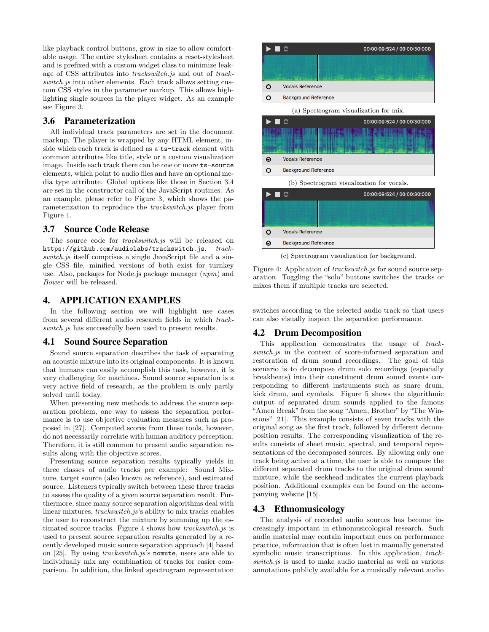like playback control buttons, grow in size to allow comfortable usage. The entire stylesheet contains a reset-stylesheet and is prefixed with a custom widget class to minimize leakage of CSS attributes into trackswitch.js and out of trackswitch.js into other elements. Each track allows setting custom CSS styles in the parameter markup. This allows highlighting single sources in the player widget. As an example see Figure 3.

#### 3.6 Parameterization

All individual track parameters are set in the document markup. The player is wrapped by any HTML element, inside which each track is defined as a ts-track element with common attributes like title, style or a custom visualization image. Inside each track there can be one or more ts-source elements, which point to audio files and have an optional media type attribute. Global options like those in Section 3.4 are set in the constructor call of the JavaScript routines. As an example, please refer to Figure 3, which shows the parameterization to reproduce the trackswitch.js player from Figure 1.

### 3.7 Source Code Release

The source code for trackswitch.js will be released on https://github.com/audiolabs/trackswitch.js. trackswitch.js itself comprises a single JavaScript file and a single CSS file, minified versions of both exist for turnkey use. Also, packages for Node.js package manager (npm) and Bower will be released.

## 4. APPLICATION EXAMPLES

In the following section we will highlight use cases from several different audio research fields in which trackswitch.js has successfully been used to present results.

## 4.1 Sound Source Separation

Sound source separation describes the task of separating an acoustic mixture into its original components. It is known that humans can easily accomplish this task, however, it is very challenging for machines. Sound source separation is a very active field of research, as the problem is only partly solved until today.

When presenting new methods to address the source separation problem, one way to assess the separation performance is to use objective evaluation measures such as proposed in [27]. Computed scores from these tools, however, do not necessarily correlate with human auditory perception. Therefore, it is still common to present audio separation results along with the objective scores.

Presenting source separation results typically yields in three classes of audio tracks per example: Sound Mixture, target source (also known as reference), and estimated source. Listeners typically switch between these three tracks to assess the quality of a given source separation result. Furthermore, since many source separation algorithms deal with linear mixtures, trackswitch.js's ability to mix tracks enables the user to reconstruct the mixture by summing up the estimated source tracks. Figure 4 shows how trackswitch.js is used to present source separation results generated by a recently developed music source separation approach [4] based on [25]. By using trackswitch.js's nomute, users are able to individually mix any combination of tracks for easier comparison. In addition, the linked spectrogram representation



Figure 4: Application of *trackswitch.js* for sound source separation. Toggling the "solo" buttons switches the tracks or mixes them if multiple tracks are selected.

switches according to the selected audio track so that users can also visually inspect the separation performance.

#### 4.2 Drum Decomposition

This application demonstrates the usage of *track*switch.js in the context of score-informed separation and restoration of drum sound recordings. The goal of this scenario is to decompose drum solo recordings (especially breakbeats) into their constituent drum sound events corresponding to different instruments such as snare drum, kick drum, and cymbals. Figure 5 shows the algorithmic output of separated drum sounds applied to the famous "Amen Break" from the song "Amen, Brother" by "The Winstons" [21]. This example consists of seven tracks with the original song as the first track, followed by different decomposition results. The corresponding visualization of the results consists of sheet music, spectral, and temporal representations of the decomposed sources. By allowing only one track being active at a time, the user is able to compare the different separated drum tracks to the original drum sound mixture, while the seekhead indicates the current playback position. Additional examples can be found on the accompanying website [15].

### 4.3 Ethnomusicology

The analysis of recorded audio sources has become increasingly important in ethnomusicological research. Such audio material may contain important cues on performance practice, information that is often lost in manually generated symbolic music transcriptions. In this application, trackswitch.js is used to make audio material as well as various annotations publicly available for a musically relevant audio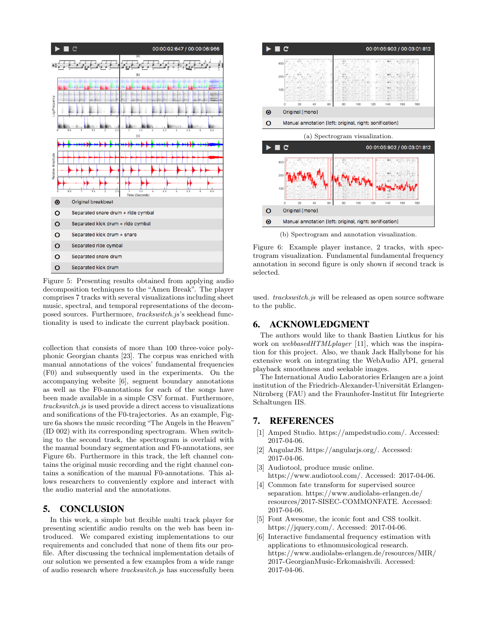

Figure 5: Presenting results obtained from applying audio decomposition techniques to the "Amen Break". The player comprises 7 tracks with several visualizations including sheet music, spectral, and temporal representations of the decomposed sources. Furthermore, trackswitch.js's seekhead functionality is used to indicate the current playback position.

collection that consists of more than 100 three-voice polyphonic Georgian chants [23]. The corpus was enriched with manual annotations of the voices' fundamental frequencies (F0) and subsequently used in the experiments. On the accompanying website [6], segment boundary annotations as well as the F0-annotations for each of the songs have been made available in a simple CSV format. Furthermore, trackswitch.js is used provide a direct access to visualizations and sonifications of the F0-trajectories. As an example, Figure 6a shows the music recording "The Angels in the Heaven" (ID 002) with its corresponding spectrogram. When switching to the second track, the spectrogram is overlaid with the manual boundary segmentation and F0-annotations, see Figure 6b. Furthermore in this track, the left channel contains the original music recording and the right channel contains a sonification of the manual F0-annotations. This allows researchers to conveniently explore and interact with the audio material and the annotations.

# 5. CONCLUSION

In this work, a simple but flexible multi track player for presenting scientific audio results on the web has been introduced. We compared existing implementations to our requirements and concluded that none of them fits our profile. After discussing the technical implementation details of our solution we presented a few examples from a wide range of audio research where trackswitch.js has successfully been



Figure 6: Example player instance, 2 tracks, with spectrogram visualization. Fundamental fundamental frequency annotation in second figure is only shown if second track is selected.

used. trackswitch.js will be released as open source software to the public.

## 6. ACKNOWLEDGMENT

The authors would like to thank Bastien Liutkus for his work on webbasedHTMLplayer [11], which was the inspiration for this project. Also, we thank Jack Hallybone for his extensive work on integrating the WebAudio API, general playback smoothness and seekable images.

The International Audio Laboratories Erlangen are a joint institution of the Friedrich-Alexander-Universität Erlangen-Nürnberg (FAU) and the Fraunhofer-Institut für Integrierte Schaltungen IIS.

## 7. REFERENCES

- [1] Amped Studio. https://ampedstudio.com/. Accessed: 2017-04-06.
- [2] AngularJS. https://angularjs.org/. Accessed: 2017-04-06.
- [3] Audiotool, produce music online. https://www.audiotool.com/. Accessed: 2017-04-06.
- [4] Common fate transform for supervised source separation. https://www.audiolabs-erlangen.de/ resources/2017-SISEC-COMMONFATE. Accessed: 2017-04-06.
- [5] Font Awesome, the iconic font and CSS toolkit. https://jquery.com/. Accessed: 2017-04-06.
- [6] Interactive fundamental frequency estimation with applications to ethnomusicological research. https://www.audiolabs-erlangen.de/resources/MIR/ 2017-GeorgianMusic-Erkomaishvili. Accessed: 2017-04-06.